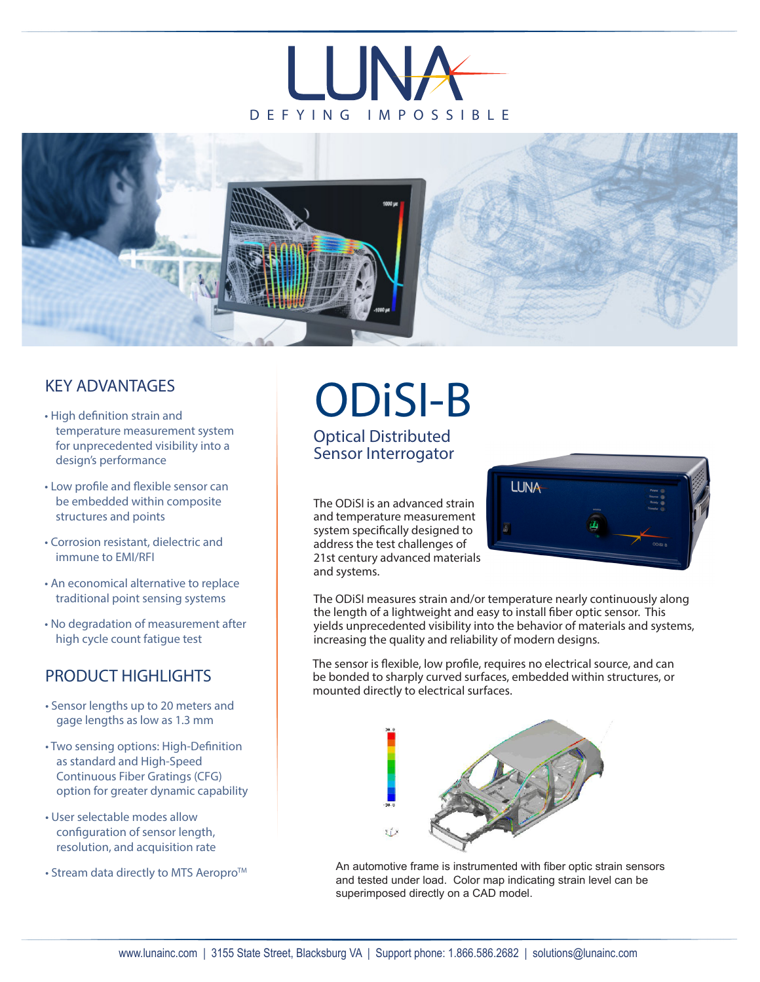



## KEY ADVANTAGES

- High definition strain and temperature measurement system for unprecedented visibility into a design's performance
- Low profile and flexible sensor can be embedded within composite structures and points
- Corrosion resistant, dielectric and immune to EMI/RFI
- An economical alternative to replace traditional point sensing systems
- No degradation of measurement after high cycle count fatigue test

## PRODUCT HIGHLIGHTS

- Sensor lengths up to 20 meters and gage lengths as low as 1.3 mm
- Two sensing options: High-Definition as standard and High-Speed Continuous Fiber Gratings (CFG) option for greater dynamic capability
- User selectable modes allow configuration of sensor length, resolution, and acquisition rate
- Stream data directly to MTS Aeropro™

## ODiSI-B Optical Distributed

Sensor Interrogator

The ODiSI is an advanced strain and temperature measurement system specifically designed to address the test challenges of 21st century advanced materials and systems.



The ODiSI measures strain and/or temperature nearly continuously along the length of a lightweight and easy to install fiber optic sensor. This yields unprecedented visibility into the behavior of materials and systems, increasing the quality and reliability of modern designs.

The sensor is flexible, low profile, requires no electrical source, and can be bonded to sharply curved surfaces, embedded within structures, or mounted directly to electrical surfaces.



An automotive frame is instrumented with fiber optic strain sensors and tested under load. Color map indicating strain level can be superimposed directly on a CAD model.